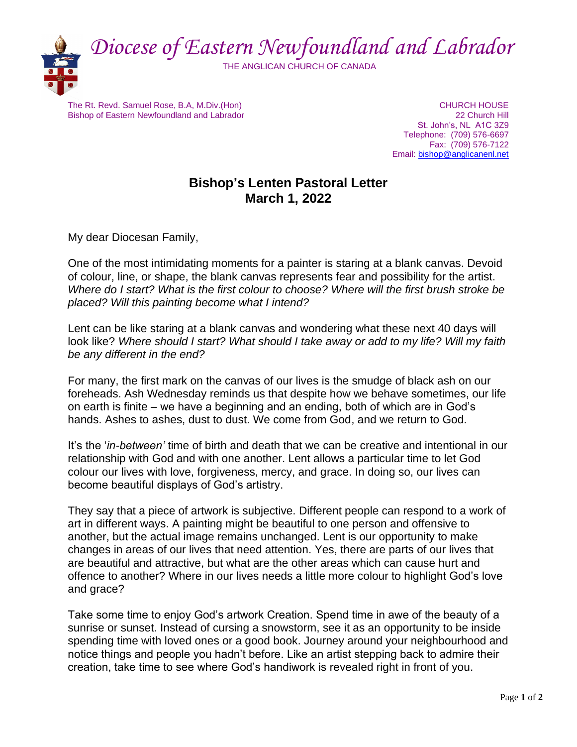

The Rt. Revd. Samuel Rose, B.A, M.Div.(Hon) CHURCH HOUSE Bishop of Eastern Newfoundland and Labrador 22 Church Hill

St. John's, NL A1C 3Z9 Telephone: (709) 576-6697 Fax: (709) 576-7122 Email: [bishop@anglicanenl.net](mailto:bishop@anglicanenl.net)

## **Bishop's Lenten Pastoral Letter March 1, 2022**

My dear Diocesan Family,

One of the most intimidating moments for a painter is staring at a blank canvas. Devoid of colour, line, or shape, the blank canvas represents fear and possibility for the artist. *Where do I start? What is the first colour to choose? Where will the first brush stroke be placed? Will this painting become what I intend?*

Lent can be like staring at a blank canvas and wondering what these next 40 days will look like? *Where should I start? What should I take away or add to my life? Will my faith be any different in the end?*

For many, the first mark on the canvas of our lives is the smudge of black ash on our foreheads. Ash Wednesday reminds us that despite how we behave sometimes, our life on earth is finite – we have a beginning and an ending, both of which are in God's hands. Ashes to ashes, dust to dust. We come from God, and we return to God.

It's the '*in-between'* time of birth and death that we can be creative and intentional in our relationship with God and with one another. Lent allows a particular time to let God colour our lives with love, forgiveness, mercy, and grace. In doing so, our lives can become beautiful displays of God's artistry.

They say that a piece of artwork is subjective. Different people can respond to a work of art in different ways. A painting might be beautiful to one person and offensive to another, but the actual image remains unchanged. Lent is our opportunity to make changes in areas of our lives that need attention. Yes, there are parts of our lives that are beautiful and attractive, but what are the other areas which can cause hurt and offence to another? Where in our lives needs a little more colour to highlight God's love and grace?

Take some time to enjoy God's artwork Creation. Spend time in awe of the beauty of a sunrise or sunset. Instead of cursing a snowstorm, see it as an opportunity to be inside spending time with loved ones or a good book. Journey around your neighbourhood and notice things and people you hadn't before. Like an artist stepping back to admire their creation, take time to see where God's handiwork is revealed right in front of you.